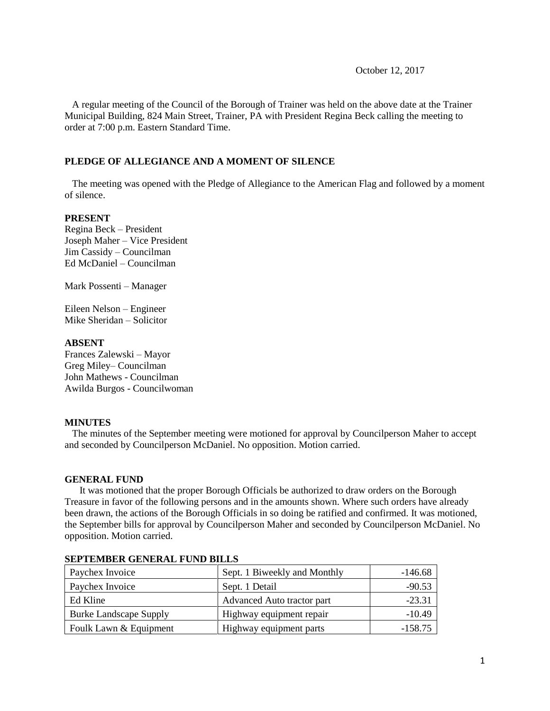October 12, 2017

 A regular meeting of the Council of the Borough of Trainer was held on the above date at the Trainer Municipal Building, 824 Main Street, Trainer, PA with President Regina Beck calling the meeting to order at 7:00 p.m. Eastern Standard Time.

## **PLEDGE OF ALLEGIANCE AND A MOMENT OF SILENCE**

 The meeting was opened with the Pledge of Allegiance to the American Flag and followed by a moment of silence.

## **PRESENT**

Regina Beck – President Joseph Maher – Vice President Jim Cassidy – Councilman Ed McDaniel – Councilman

Mark Possenti – Manager

Eileen Nelson – Engineer Mike Sheridan – Solicitor

# **ABSENT**

Frances Zalewski – Mayor Greg Miley– Councilman John Mathews - Councilman Awilda Burgos - Councilwoman

## **MINUTES**

The minutes of the September meeting were motioned for approval by Councilperson Maher to accept and seconded by Councilperson McDaniel. No opposition. Motion carried.

## **GENERAL FUND**

 It was motioned that the proper Borough Officials be authorized to draw orders on the Borough Treasure in favor of the following persons and in the amounts shown. Where such orders have already been drawn, the actions of the Borough Officials in so doing be ratified and confirmed. It was motioned, the September bills for approval by Councilperson Maher and seconded by Councilperson McDaniel. No opposition. Motion carried.

| Paychex Invoice               | Sept. 1 Biweekly and Monthly | $-146.68$ |
|-------------------------------|------------------------------|-----------|
| Paychex Invoice               | Sept. 1 Detail               | $-90.53$  |
| Ed Kline                      | Advanced Auto tractor part   | $-23.31$  |
| <b>Burke Landscape Supply</b> | Highway equipment repair     | $-10.49$  |
| Foulk Lawn & Equipment        | Highway equipment parts      | $-158.75$ |

## **SEPTEMBER GENERAL FUND BILLS**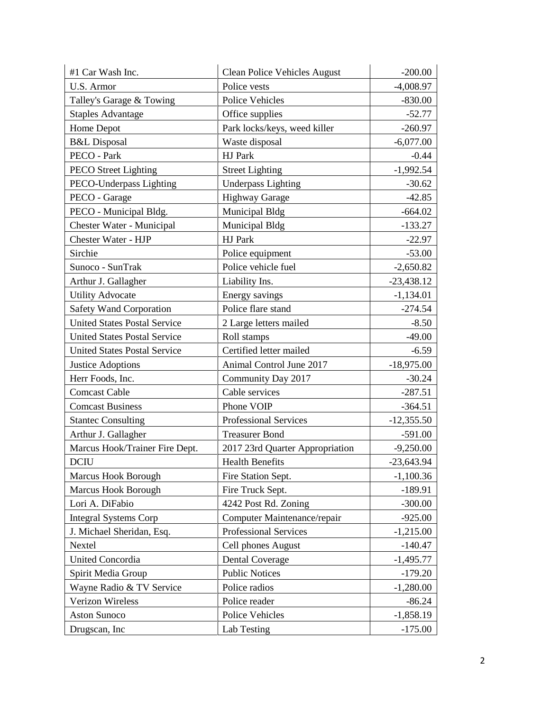| #1 Car Wash Inc.                    | <b>Clean Police Vehicles August</b> | $-200.00$    |
|-------------------------------------|-------------------------------------|--------------|
| U.S. Armor                          | Police vests                        | $-4,008.97$  |
| Talley's Garage & Towing            | Police Vehicles                     | $-830.00$    |
| <b>Staples Advantage</b>            | Office supplies                     | $-52.77$     |
| Home Depot                          | Park locks/keys, weed killer        | $-260.97$    |
| <b>B&amp;L</b> Disposal             | Waste disposal                      | $-6,077.00$  |
| PECO - Park                         | <b>HJ</b> Park                      | $-0.44$      |
| <b>PECO</b> Street Lighting         | <b>Street Lighting</b>              | $-1,992.54$  |
| PECO-Underpass Lighting             | <b>Underpass Lighting</b>           | $-30.62$     |
| PECO - Garage                       | <b>Highway Garage</b>               | $-42.85$     |
| PECO - Municipal Bldg.              | Municipal Bldg                      | $-664.02$    |
| Chester Water - Municipal           | Municipal Bldg                      | $-133.27$    |
| Chester Water - HJP                 | HJ Park                             | $-22.97$     |
| Sirchie                             | Police equipment                    | $-53.00$     |
| Sunoco - SunTrak                    | Police vehicle fuel                 | $-2,650.82$  |
| Arthur J. Gallagher                 | Liability Ins.                      | $-23,438.12$ |
| <b>Utility Advocate</b>             | Energy savings                      | $-1,134.01$  |
| <b>Safety Wand Corporation</b>      | Police flare stand                  | $-274.54$    |
| <b>United States Postal Service</b> | 2 Large letters mailed              | $-8.50$      |
| <b>United States Postal Service</b> | Roll stamps                         | $-49.00$     |
| <b>United States Postal Service</b> | Certified letter mailed             | $-6.59$      |
| <b>Justice Adoptions</b>            | Animal Control June 2017            | $-18,975.00$ |
| Herr Foods, Inc.                    | Community Day 2017                  | $-30.24$     |
| <b>Comcast Cable</b>                | Cable services                      | $-287.51$    |
| <b>Comcast Business</b>             | Phone VOIP                          | $-364.51$    |
| <b>Stantec Consulting</b>           | <b>Professional Services</b>        | $-12,355.50$ |
| Arthur J. Gallagher                 | <b>Treasurer Bond</b>               | $-591.00$    |
| Marcus Hook/Trainer Fire Dept.      | 2017 23rd Quarter Appropriation     | $-9,250.00$  |
| <b>DCIU</b>                         | <b>Health Benefits</b>              | $-23,643.94$ |
| <b>Marcus Hook Borough</b>          | Fire Station Sept.                  | $-1,100.36$  |
| Marcus Hook Borough                 | Fire Truck Sept.                    | $-189.91$    |
| Lori A. DiFabio                     | 4242 Post Rd. Zoning                | $-300.00$    |
| <b>Integral Systems Corp</b>        | Computer Maintenance/repair         | $-925.00$    |
| J. Michael Sheridan, Esq.           | Professional Services               | $-1,215.00$  |
| Nextel                              | Cell phones August                  | $-140.47$    |
| United Concordia                    | <b>Dental Coverage</b>              | $-1,495.77$  |
| Spirit Media Group                  | <b>Public Notices</b>               | $-179.20$    |
| Wayne Radio & TV Service            | Police radios                       | $-1,280.00$  |
| Verizon Wireless                    | Police reader                       | $-86.24$     |
| Aston Sunoco                        | Police Vehicles                     | $-1,858.19$  |
| Drugscan, Inc                       | Lab Testing                         | $-175.00$    |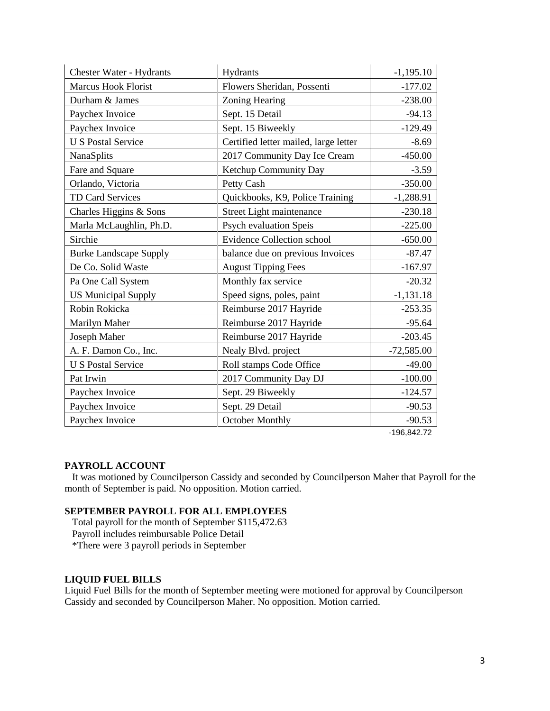| <b>Chester Water - Hydrants</b> | Hydrants                              | $-1,195.10$  |
|---------------------------------|---------------------------------------|--------------|
| <b>Marcus Hook Florist</b>      | Flowers Sheridan, Possenti            | $-177.02$    |
| Durham & James                  | Zoning Hearing                        | $-238.00$    |
| Paychex Invoice                 | Sept. 15 Detail                       | $-94.13$     |
| Paychex Invoice                 | Sept. 15 Biweekly                     | $-129.49$    |
| <b>U S Postal Service</b>       | Certified letter mailed, large letter | $-8.69$      |
| <b>NanaSplits</b>               | 2017 Community Day Ice Cream          | $-450.00$    |
| Fare and Square                 | Ketchup Community Day                 | $-3.59$      |
| Orlando, Victoria               | Petty Cash                            | $-350.00$    |
| TD Card Services                | Quickbooks, K9, Police Training       | $-1,288.91$  |
| Charles Higgins & Sons          | Street Light maintenance              | $-230.18$    |
| Marla McLaughlin, Ph.D.         | <b>Psych evaluation Speis</b>         | $-225.00$    |
| Sirchie                         | <b>Evidence Collection school</b>     | $-650.00$    |
| <b>Burke Landscape Supply</b>   | balance due on previous Invoices      | $-87.47$     |
| De Co. Solid Waste              | <b>August Tipping Fees</b>            | $-167.97$    |
| Pa One Call System              | Monthly fax service                   | $-20.32$     |
| <b>US Municipal Supply</b>      | Speed signs, poles, paint             | $-1,131.18$  |
| Robin Rokicka                   | Reimburse 2017 Hayride                | $-253.35$    |
| Marilyn Maher                   | Reimburse 2017 Hayride                | $-95.64$     |
| Joseph Maher                    | Reimburse 2017 Hayride                | $-203.45$    |
| A. F. Damon Co., Inc.           | Nealy Blvd. project                   | $-72,585.00$ |
| <b>U S Postal Service</b>       | Roll stamps Code Office               | $-49.00$     |
| Pat Irwin                       | 2017 Community Day DJ                 | $-100.00$    |
| Paychex Invoice                 | Sept. 29 Biweekly                     | $-124.57$    |
| Paychex Invoice                 | Sept. 29 Detail                       | $-90.53$     |
| Paychex Invoice                 | October Monthly                       | $-90.53$     |

-196,842.72

# **PAYROLL ACCOUNT**

 It was motioned by Councilperson Cassidy and seconded by Councilperson Maher that Payroll for the month of September is paid. No opposition. Motion carried.

# **SEPTEMBER PAYROLL FOR ALL EMPLOYEES**

 Total payroll for the month of September \$115,472.63 Payroll includes reimbursable Police Detail \*There were 3 payroll periods in September

**LIQUID FUEL BILLS** Liquid Fuel Bills for the month of September meeting were motioned for approval by Councilperson Cassidy and seconded by Councilperson Maher. No opposition. Motion carried.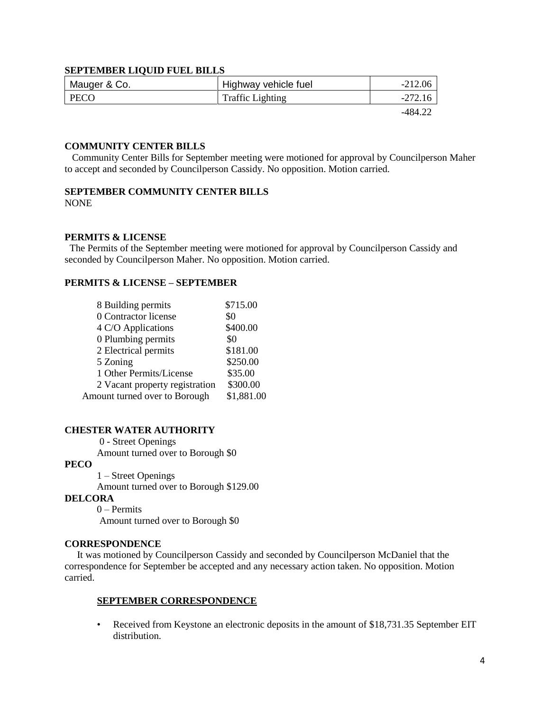## **SEPTEMBER LIQUID FUEL BILLS**

| Mauger & Co. | Highway vehicle fuel    | $-212.06$ |
|--------------|-------------------------|-----------|
| PECO         | <b>Traffic Lighting</b> | $-272.16$ |
|              |                         | $-484.22$ |

# **COMMUNITY CENTER BILLS**

 Community Center Bills for September meeting were motioned for approval by Councilperson Maher to accept and seconded by Councilperson Cassidy. No opposition. Motion carried.

# **SEPTEMBER COMMUNITY CENTER BILLS**

NONE

## **PERMITS & LICENSE**

The Permits of the September meeting were motioned for approval by Councilperson Cassidy and seconded by Councilperson Maher. No opposition. Motion carried.

## **PERMITS & LICENSE – SEPTEMBER**

| 8 Building permits             | \$715.00   |
|--------------------------------|------------|
| 0 Contractor license           | \$0        |
| 4 C/O Applications             | \$400.00   |
| 0 Plumbing permits             | \$0        |
| 2 Electrical permits           | \$181.00   |
| 5 Zoning                       | \$250.00   |
| 1 Other Permits/License        | \$35.00    |
| 2 Vacant property registration | \$300.00   |
| Amount turned over to Borough  | \$1,881.00 |

## **CHESTER WATER AUTHORITY**

0 - Street Openings

Amount turned over to Borough \$0

## **PECO**

1 – Street Openings

Amount turned over to Borough \$129.00

## **DELCORA**

0 – Permits Amount turned over to Borough \$0

## **CORRESPONDENCE**

 It was motioned by Councilperson Cassidy and seconded by Councilperson McDaniel that the correspondence for September be accepted and any necessary action taken. No opposition. Motion carried.

## **SEPTEMBER CORRESPONDENCE**

• Received from Keystone an electronic deposits in the amount of \$18,731.35 September EIT distribution.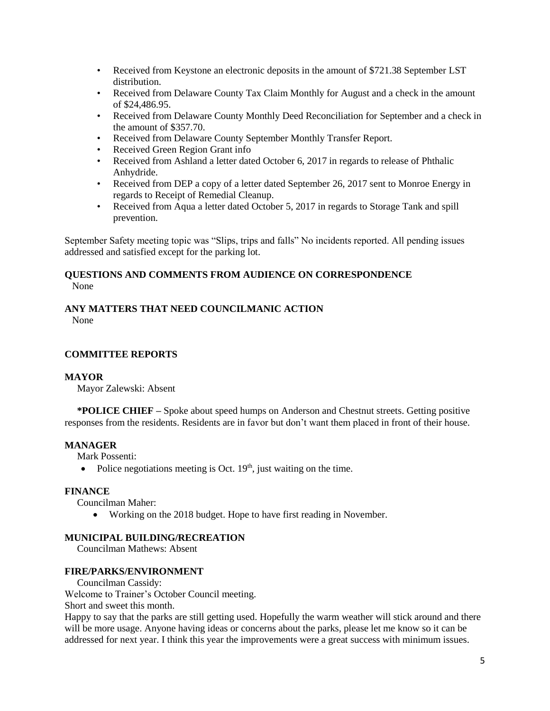- Received from Keystone an electronic deposits in the amount of \$721.38 September LST distribution.
- Received from Delaware County Tax Claim Monthly for August and a check in the amount of \$24,486.95.
- Received from Delaware County Monthly Deed Reconciliation for September and a check in the amount of \$357.70.
- Received from Delaware County September Monthly Transfer Report.
- Received Green Region Grant info
- Received from Ashland a letter dated October 6, 2017 in regards to release of Phthalic Anhydride.
- Received from DEP a copy of a letter dated September 26, 2017 sent to Monroe Energy in regards to Receipt of Remedial Cleanup.
- Received from Aqua a letter dated October 5, 2017 in regards to Storage Tank and spill prevention.

September Safety meeting topic was "Slips, trips and falls" No incidents reported. All pending issues addressed and satisfied except for the parking lot.

## **QUESTIONS AND COMMENTS FROM AUDIENCE ON CORRESPONDENCE** None

# **ANY MATTERS THAT NEED COUNCILMANIC ACTION**

None

# **COMMITTEE REPORTS**

# **MAYOR**

Mayor Zalewski: Absent

 **\*POLICE CHIEF –** Spoke about speed humps on Anderson and Chestnut streets. Getting positive responses from the residents. Residents are in favor but don't want them placed in front of their house.

# **MANAGER**

Mark Possenti:

• Police negotiations meeting is Oct.  $19<sup>th</sup>$ , just waiting on the time.

# **FINANCE**

Councilman Maher:

Working on the 2018 budget. Hope to have first reading in November.

# **MUNICIPAL BUILDING/RECREATION**

Councilman Mathews: Absent

# **FIRE/PARKS/ENVIRONMENT**

Councilman Cassidy:

Welcome to Trainer's October Council meeting.

Short and sweet this month.

Happy to say that the parks are still getting used. Hopefully the warm weather will stick around and there will be more usage. Anyone having ideas or concerns about the parks, please let me know so it can be addressed for next year. I think this year the improvements were a great success with minimum issues.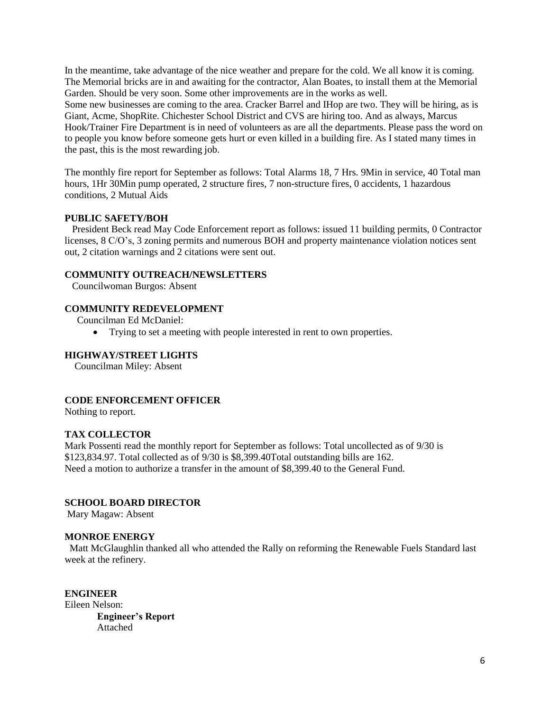In the meantime, take advantage of the nice weather and prepare for the cold. We all know it is coming. The Memorial bricks are in and awaiting for the contractor, Alan Boates, to install them at the Memorial Garden. Should be very soon. Some other improvements are in the works as well.

Some new businesses are coming to the area. Cracker Barrel and IHop are two. They will be hiring, as is Giant, Acme, ShopRite. Chichester School District and CVS are hiring too. And as always, Marcus Hook/Trainer Fire Department is in need of volunteers as are all the departments. Please pass the word on to people you know before someone gets hurt or even killed in a building fire. As I stated many times in the past, this is the most rewarding job.

The monthly fire report for September as follows: Total Alarms 18, 7 Hrs. 9Min in service, 40 Total man hours, 1Hr 30Min pump operated, 2 structure fires, 7 non-structure fires, 0 accidents, 1 hazardous conditions, 2 Mutual Aids

## **PUBLIC SAFETY/BOH**

 President Beck read May Code Enforcement report as follows: issued 11 building permits, 0 Contractor licenses, 8 C/O's, 3 zoning permits and numerous BOH and property maintenance violation notices sent out, 2 citation warnings and 2 citations were sent out.

## **COMMUNITY OUTREACH/NEWSLETTERS**

Councilwoman Burgos: Absent

# **COMMUNITY REDEVELOPMENT**

Councilman Ed McDaniel:

Trying to set a meeting with people interested in rent to own properties.

## **HIGHWAY/STREET LIGHTS**

Councilman Miley: Absent

# **CODE ENFORCEMENT OFFICER**

Nothing to report.

# **TAX COLLECTOR**

Mark Possenti read the monthly report for September as follows: Total uncollected as of 9/30 is \$123,834.97. Total collected as of 9/30 is \$8,399.40Total outstanding bills are 162. Need a motion to authorize a transfer in the amount of \$8,399.40 to the General Fund.

# **SCHOOL BOARD DIRECTOR**

Mary Magaw: Absent

## **MONROE ENERGY**

 Matt McGlaughlin thanked all who attended the Rally on reforming the Renewable Fuels Standard last week at the refinery.

**ENGINEER** Eileen Nelson: **Engineer's Report** Attached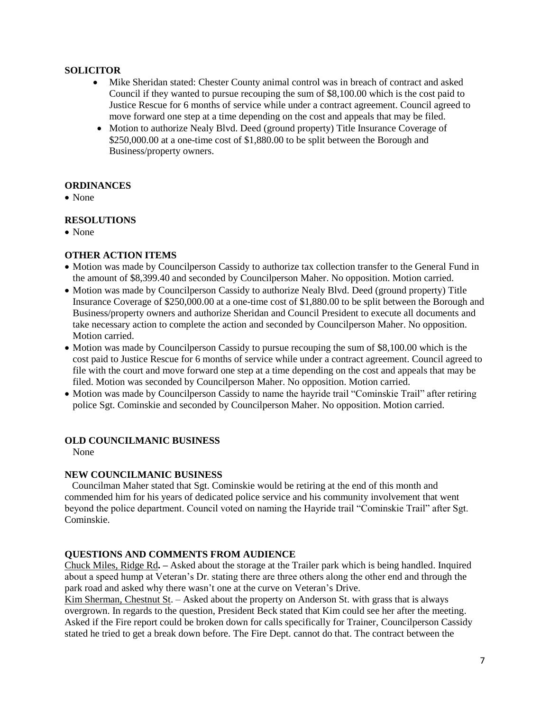# **SOLICITOR**

- Mike Sheridan stated: Chester County animal control was in breach of contract and asked Council if they wanted to pursue recouping the sum of \$8,100.00 which is the cost paid to Justice Rescue for 6 months of service while under a contract agreement. Council agreed to move forward one step at a time depending on the cost and appeals that may be filed.
- Motion to authorize Nealy Blvd. Deed (ground property) Title Insurance Coverage of \$250,000.00 at a one-time cost of \$1,880.00 to be split between the Borough and Business/property owners.

# **ORDINANCES**

• None

# **RESOLUTIONS**

• None

# **OTHER ACTION ITEMS**

- Motion was made by Councilperson Cassidy to authorize tax collection transfer to the General Fund in the amount of \$8,399.40 and seconded by Councilperson Maher. No opposition. Motion carried.
- Motion was made by Councilperson Cassidy to authorize Nealy Blvd. Deed (ground property) Title Insurance Coverage of \$250,000.00 at a one-time cost of \$1,880.00 to be split between the Borough and Business/property owners and authorize Sheridan and Council President to execute all documents and take necessary action to complete the action and seconded by Councilperson Maher. No opposition. Motion carried.
- Motion was made by Councilperson Cassidy to pursue recouping the sum of \$8,100.00 which is the cost paid to Justice Rescue for 6 months of service while under a contract agreement. Council agreed to file with the court and move forward one step at a time depending on the cost and appeals that may be filed. Motion was seconded by Councilperson Maher. No opposition. Motion carried.
- Motion was made by Councilperson Cassidy to name the hayride trail "Cominskie Trail" after retiring police Sgt. Cominskie and seconded by Councilperson Maher. No opposition. Motion carried.

# **OLD COUNCILMANIC BUSINESS**

None

# **NEW COUNCILMANIC BUSINESS**

 Councilman Maher stated that Sgt. Cominskie would be retiring at the end of this month and commended him for his years of dedicated police service and his community involvement that went beyond the police department. Council voted on naming the Hayride trail "Cominskie Trail" after Sgt. Cominskie.

# **QUESTIONS AND COMMENTS FROM AUDIENCE**

Chuck Miles, Ridge Rd**. –** Asked about the storage at the Trailer park which is being handled. Inquired about a speed hump at Veteran's Dr. stating there are three others along the other end and through the park road and asked why there wasn't one at the curve on Veteran's Drive.

Kim Sherman, Chestnut St. – Asked about the property on Anderson St. with grass that is always overgrown. In regards to the question, President Beck stated that Kim could see her after the meeting. Asked if the Fire report could be broken down for calls specifically for Trainer, Councilperson Cassidy stated he tried to get a break down before. The Fire Dept. cannot do that. The contract between the